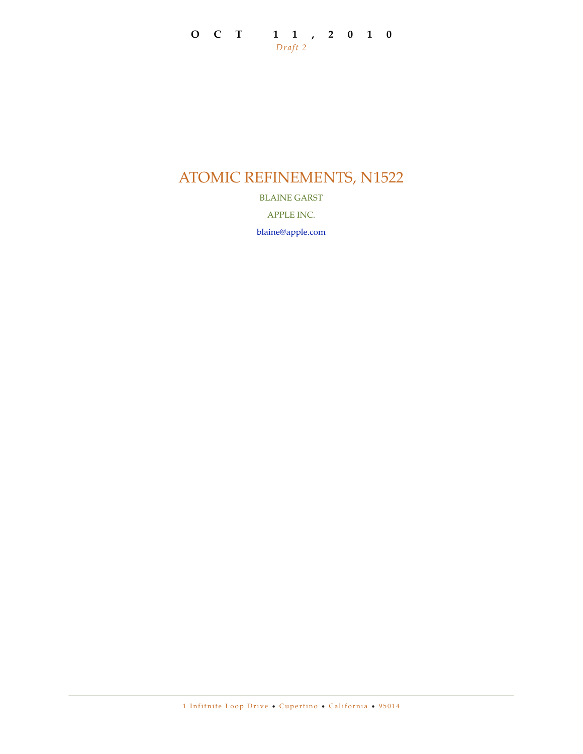# **OCT 11,2010** *Draft 2*

# ATOMIC REFINEMENTS, N1522

BLAINE GARST

APPLE INC.

[blaine@apple.com](mailto:blaine@apple.com)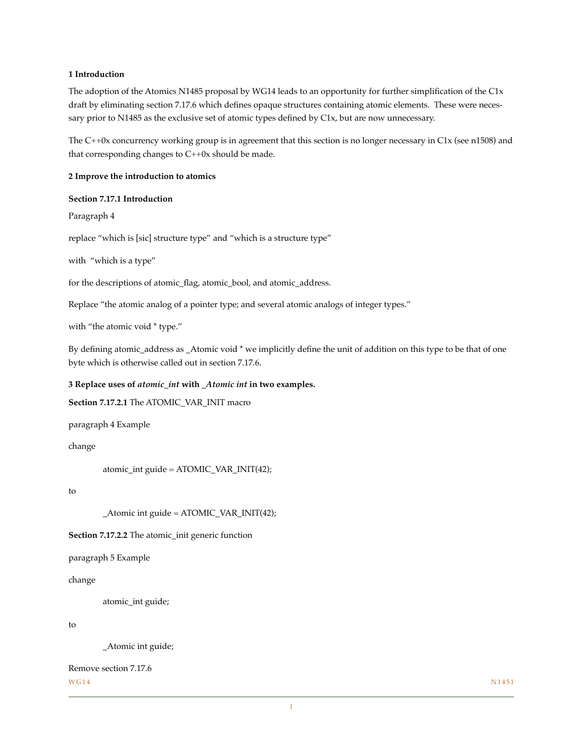### **1 Introduction**

The adoption of the Atomics N1485 proposal by WG14 leads to an opportunity for further simplification of the C1x draft by eliminating section 7.17.6 which defines opaque structures containing atomic elements. These were necessary prior to N1485 as the exclusive set of atomic types defined by C1x, but are now unnecessary.

The C++0x concurrency working group is in agreement that this section is no longer necessary in C1x (see n1508) and that corresponding changes to C++0x should be made.

**2 Improve the introduction to atomics**

#### **Section 7.17.1 Introduction**

Paragraph 4

replace "which is [sic] structure type" and "which is a structure type"

with "which is a type"

for the descriptions of atomic\_flag, atomic\_bool, and atomic\_address.

Replace "the atomic analog of a pointer type; and several atomic analogs of integer types."

with "the atomic void  $*$  type."

By defining atomic\_address as \_Atomic void \* we implicitly define the unit of addition on this type to be that of one byte which is otherwise called out in section 7.17.6.

#### **3 Replace uses of** *atomic\_int* **with** *\_Atomic int* **in two examples.**

**Section 7.17.2.1** The ATOMIC\_VAR\_INIT macro

paragraph 4 Example

change

atomic\_int guide = ATOMIC\_VAR\_INIT(42);

to

\_Atomic int guide = ATOMIC\_VAR\_INIT(42);

**Section 7.17.2.2** The atomic\_init generic function

paragraph 5 Example

change

atomic\_int guide;

to

\_Atomic int guide;

```
Remove section 7.17.6
WG14 N1451
```